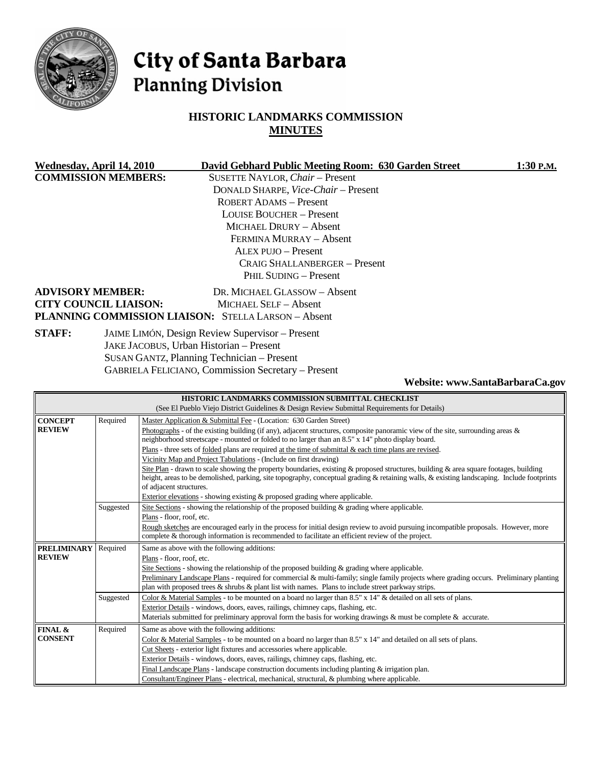

# City of Santa Barbara **Planning Division**

# **HISTORIC LANDMARKS COMMISSION MINUTES**

| Wednesday, April 14, 2010     | David Gebhard Public Meeting Room: 630 Garden Street       | 1:30 P.M. |
|-------------------------------|------------------------------------------------------------|-----------|
| <b>COMMISSION MEMBERS:</b>    | SUSETTE NAYLOR, Chair - Present                            |           |
|                               | DONALD SHARPE, Vice-Chair - Present                        |           |
|                               | ROBERT ADAMS - Present                                     |           |
|                               | LOUISE BOUCHER – Present                                   |           |
|                               | <b>MICHAEL DRURY - Absent</b>                              |           |
|                               | FERMINA MURRAY - Absent                                    |           |
|                               | ALEX PUJO - Present                                        |           |
| CRAIG SHALLANBERGER – Present |                                                            |           |
|                               | PHIL SUDING - Present                                      |           |
| <b>ADVISORY MEMBER:</b>       | DR. MICHAEL GLASSOW - Absent                               |           |
| <b>CITY COUNCIL LIAISON:</b>  | MICHAEL SELF - Absent                                      |           |
|                               | <b>PLANNING COMMISSION LIAISON: STELLA LARSON - Absent</b> |           |
| <b>STAFF:</b>                 | JAIME LIMÓN, Design Review Supervisor - Present            |           |
|                               | JAKE JACOBUS, Urban Historian - Present                    |           |
|                               | SUSAN GANTZ, Planning Technician – Present                 |           |

GABRIELA FELICIANO, Commission Secretary – Present

**Website: www.SantaBarbaraCa.gov** 

| HISTORIC LANDMARKS COMMISSION SUBMITTAL CHECKLIST                                            |           |                                                                                                                                            |  |  |
|----------------------------------------------------------------------------------------------|-----------|--------------------------------------------------------------------------------------------------------------------------------------------|--|--|
| (See El Pueblo Viejo District Guidelines & Design Review Submittal Requirements for Details) |           |                                                                                                                                            |  |  |
| <b>CONCEPT</b>                                                                               | Required  | Master Application & Submittal Fee - (Location: 630 Garden Street)                                                                         |  |  |
| <b>REVIEW</b>                                                                                |           | Photographs - of the existing building (if any), adjacent structures, composite panoramic view of the site, surrounding areas $\&$         |  |  |
|                                                                                              |           | neighborhood streetscape - mounted or folded to no larger than an 8.5" x 14" photo display board.                                          |  |  |
|                                                                                              |           | Plans - three sets of folded plans are required at the time of submittal $\&$ each time plans are revised.                                 |  |  |
|                                                                                              |           | Vicinity Map and Project Tabulations - (Include on first drawing)                                                                          |  |  |
|                                                                                              |           | Site Plan - drawn to scale showing the property boundaries, existing & proposed structures, building & area square footages, building      |  |  |
|                                                                                              |           | height, areas to be demolished, parking, site topography, conceptual grading & retaining walls, & existing landscaping. Include footprints |  |  |
|                                                                                              |           | of adjacent structures.                                                                                                                    |  |  |
|                                                                                              |           | Exterior elevations - showing existing & proposed grading where applicable.                                                                |  |  |
|                                                                                              | Suggested | Site Sections - showing the relationship of the proposed building $\&$ grading where applicable.                                           |  |  |
|                                                                                              |           | Plans - floor, roof, etc.                                                                                                                  |  |  |
|                                                                                              |           | Rough sketches are encouraged early in the process for initial design review to avoid pursuing incompatible proposals. However, more       |  |  |
|                                                                                              |           | complete & thorough information is recommended to facilitate an efficient review of the project.                                           |  |  |
|                                                                                              |           |                                                                                                                                            |  |  |
| <b>PRELIMINARY</b>                                                                           | Required  | Same as above with the following additions:                                                                                                |  |  |
| <b>REVIEW</b>                                                                                |           | Plans - floor, roof, etc.                                                                                                                  |  |  |
|                                                                                              |           | Site Sections - showing the relationship of the proposed building $\&$ grading where applicable.                                           |  |  |
|                                                                                              |           | Preliminary Landscape Plans - required for commercial & multi-family; single family projects where grading occurs. Preliminary planting    |  |  |
|                                                                                              |           | plan with proposed trees & shrubs & plant list with names. Plans to include street parkway strips.                                         |  |  |
|                                                                                              | Suggested | Color & Material Samples - to be mounted on a board no larger than 8.5" x 14" & detailed on all sets of plans.                             |  |  |
|                                                                                              |           | Exterior Details - windows, doors, eaves, railings, chimney caps, flashing, etc.                                                           |  |  |
|                                                                                              |           | Materials submitted for preliminary approval form the basis for working drawings & must be complete & accurate.                            |  |  |
| <b>FINAL &amp;</b>                                                                           | Required  | Same as above with the following additions:                                                                                                |  |  |
| <b>CONSENT</b>                                                                               |           | Color & Material Samples - to be mounted on a board no larger than $8.5"$ x 14" and detailed on all sets of plans.                         |  |  |
|                                                                                              |           | Cut Sheets - exterior light fixtures and accessories where applicable.                                                                     |  |  |
|                                                                                              |           | Exterior Details - windows, doors, eaves, railings, chimney caps, flashing, etc.                                                           |  |  |
|                                                                                              |           | Final Landscape Plans - landscape construction documents including planting $\&$ irrigation plan.                                          |  |  |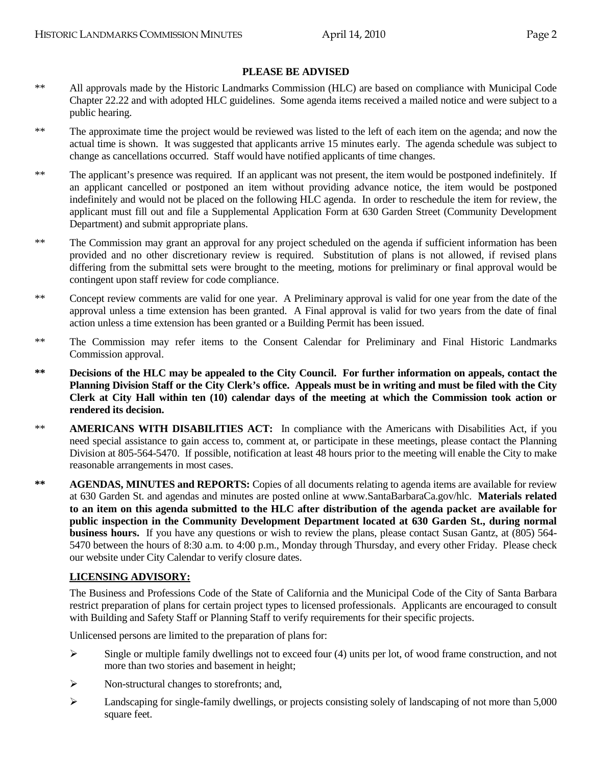## **PLEASE BE ADVISED**

- \*\* All approvals made by the Historic Landmarks Commission (HLC) are based on compliance with Municipal Code Chapter 22.22 and with adopted HLC guidelines. Some agenda items received a mailed notice and were subject to a public hearing.
- \*\* The approximate time the project would be reviewed was listed to the left of each item on the agenda; and now the actual time is shown. It was suggested that applicants arrive 15 minutes early. The agenda schedule was subject to change as cancellations occurred. Staff would have notified applicants of time changes.
- \*\* The applicant's presence was required. If an applicant was not present, the item would be postponed indefinitely. If an applicant cancelled or postponed an item without providing advance notice, the item would be postponed indefinitely and would not be placed on the following HLC agenda. In order to reschedule the item for review, the applicant must fill out and file a Supplemental Application Form at 630 Garden Street (Community Development Department) and submit appropriate plans.
- \*\* The Commission may grant an approval for any project scheduled on the agenda if sufficient information has been provided and no other discretionary review is required. Substitution of plans is not allowed, if revised plans differing from the submittal sets were brought to the meeting, motions for preliminary or final approval would be contingent upon staff review for code compliance.
- \*\* Concept review comments are valid for one year. A Preliminary approval is valid for one year from the date of the approval unless a time extension has been granted. A Final approval is valid for two years from the date of final action unless a time extension has been granted or a Building Permit has been issued.
- \*\* The Commission may refer items to the Consent Calendar for Preliminary and Final Historic Landmarks Commission approval.
- **\*\* Decisions of the HLC may be appealed to the City Council. For further information on appeals, contact the Planning Division Staff or the City Clerk's office. Appeals must be in writing and must be filed with the City Clerk at City Hall within ten (10) calendar days of the meeting at which the Commission took action or rendered its decision.**
- \*\* **AMERICANS WITH DISABILITIES ACT:** In compliance with the Americans with Disabilities Act, if you need special assistance to gain access to, comment at, or participate in these meetings, please contact the Planning Division at 805-564-5470. If possible, notification at least 48 hours prior to the meeting will enable the City to make reasonable arrangements in most cases.
- **\*\* AGENDAS, MINUTES and REPORTS:** Copies of all documents relating to agenda items are available for review at 630 Garden St. and agendas and minutes are posted online at www.SantaBarbaraCa.gov/hlc. **Materials related to an item on this agenda submitted to the HLC after distribution of the agenda packet are available for public inspection in the Community Development Department located at 630 Garden St., during normal business hours.** If you have any questions or wish to review the plans, please contact Susan Gantz, at (805) 564- 5470 between the hours of 8:30 a.m. to 4:00 p.m., Monday through Thursday, and every other Friday. Please check our website under City Calendar to verify closure dates.

#### **LICENSING ADVISORY:**

The Business and Professions Code of the State of California and the Municipal Code of the City of Santa Barbara restrict preparation of plans for certain project types to licensed professionals. Applicants are encouraged to consult with Building and Safety Staff or Planning Staff to verify requirements for their specific projects.

Unlicensed persons are limited to the preparation of plans for:

- $\triangleright$  Single or multiple family dwellings not to exceed four (4) units per lot, of wood frame construction, and not more than two stories and basement in height;
- $\triangleright$  Non-structural changes to storefronts; and,
- Landscaping for single-family dwellings, or projects consisting solely of landscaping of not more than 5,000 square feet.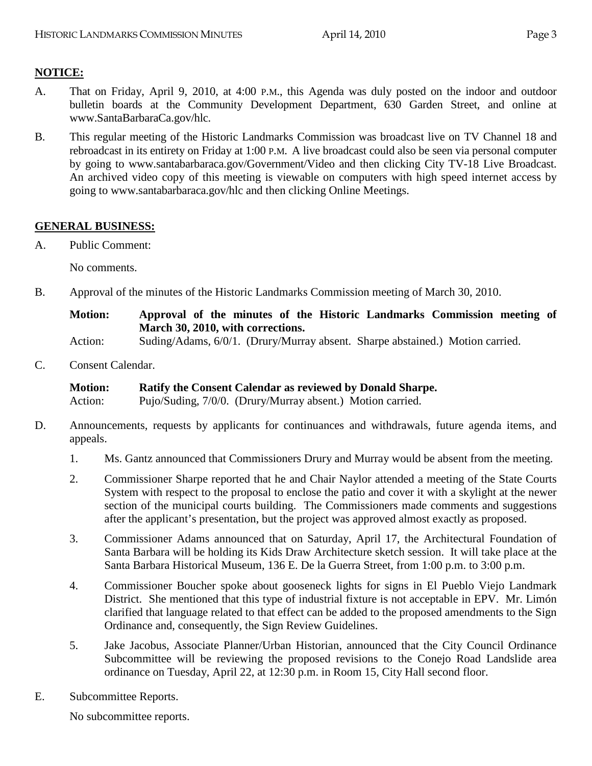# **NOTICE:**

- A. That on Friday, April 9, 2010, at 4:00 P.M., this Agenda was duly posted on the indoor and outdoor bulletin boards at the Community Development Department, 630 Garden Street, and online at www.SantaBarbaraCa.gov/hlc.
- B. This regular meeting of the Historic Landmarks Commission was broadcast live on TV Channel 18 and rebroadcast in its entirety on Friday at 1:00 P.M. A live broadcast could also be seen via personal computer by going to www.santabarbaraca.gov/Government/Video and then clicking City TV-18 Live Broadcast. An archived video copy of this meeting is viewable on computers with high speed internet access by going to www.santabarbaraca.gov/hlc and then clicking Online Meetings.

## **GENERAL BUSINESS:**

A. Public Comment:

No comments.

B. Approval of the minutes of the Historic Landmarks Commission meeting of March 30, 2010.

## **Motion: Approval of the minutes of the Historic Landmarks Commission meeting of March 30, 2010, with corrections.**

Action: Suding/Adams, 6/0/1. (Drury/Murray absent. Sharpe abstained.) Motion carried.

C. Consent Calendar.

**Motion: Ratify the Consent Calendar as reviewed by Donald Sharpe.** 

Action: Pujo/Suding, 7/0/0. (Drury/Murray absent.) Motion carried.

- D. Announcements, requests by applicants for continuances and withdrawals, future agenda items, and appeals.
	- 1. Ms. Gantz announced that Commissioners Drury and Murray would be absent from the meeting.
	- 2. Commissioner Sharpe reported that he and Chair Naylor attended a meeting of the State Courts System with respect to the proposal to enclose the patio and cover it with a skylight at the newer section of the municipal courts building. The Commissioners made comments and suggestions after the applicant's presentation, but the project was approved almost exactly as proposed.
	- 3. Commissioner Adams announced that on Saturday, April 17, the Architectural Foundation of Santa Barbara will be holding its Kids Draw Architecture sketch session. It will take place at the Santa Barbara Historical Museum, 136 E. De la Guerra Street, from 1:00 p.m. to 3:00 p.m.
	- 4. Commissioner Boucher spoke about gooseneck lights for signs in El Pueblo Viejo Landmark District. She mentioned that this type of industrial fixture is not acceptable in EPV. Mr. Limón clarified that language related to that effect can be added to the proposed amendments to the Sign Ordinance and, consequently, the Sign Review Guidelines.
	- 5. Jake Jacobus, Associate Planner/Urban Historian, announced that the City Council Ordinance Subcommittee will be reviewing the proposed revisions to the Conejo Road Landslide area ordinance on Tuesday, April 22, at 12:30 p.m. in Room 15, City Hall second floor.
- E. Subcommittee Reports.

No subcommittee reports.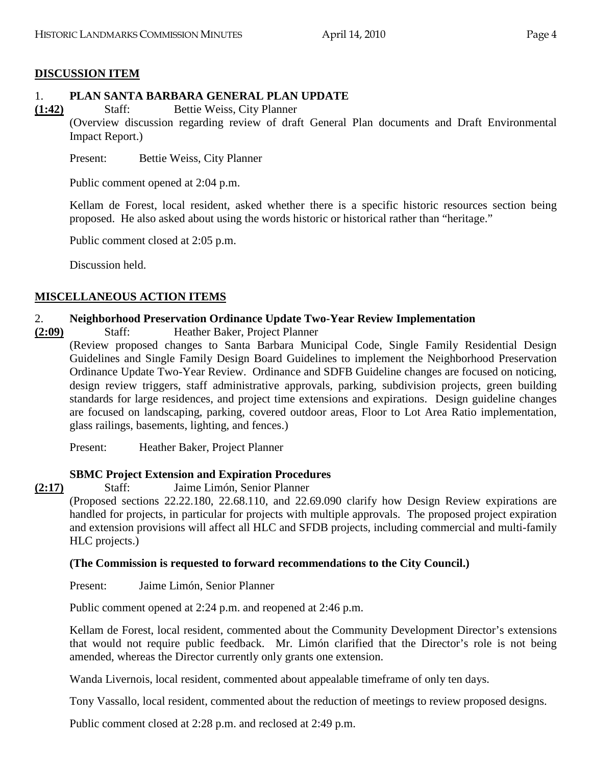## **DISCUSSION ITEM**

# 1. **PLAN SANTA BARBARA GENERAL PLAN UPDATE**

**(1:42)** Staff: Bettie Weiss, City Planner

(Overview discussion regarding review of draft General Plan documents and Draft Environmental Impact Report.)

Present: Bettie Weiss, City Planner

Public comment opened at 2:04 p.m.

Kellam de Forest, local resident, asked whether there is a specific historic resources section being proposed. He also asked about using the words historic or historical rather than "heritage."

Public comment closed at 2:05 p.m.

Discussion held.

## **MISCELLANEOUS ACTION ITEMS**

## 2. **Neighborhood Preservation Ordinance Update Two-Year Review Implementation**

- **(2:09)** Staff: Heather Baker, Project Planner
	- (Review proposed changes to Santa Barbara Municipal Code, Single Family Residential Design Guidelines and Single Family Design Board Guidelines to implement the Neighborhood Preservation Ordinance Update Two-Year Review. Ordinance and SDFB Guideline changes are focused on noticing, design review triggers, staff administrative approvals, parking, subdivision projects, green building standards for large residences, and project time extensions and expirations. Design guideline changes are focused on landscaping, parking, covered outdoor areas, Floor to Lot Area Ratio implementation, glass railings, basements, lighting, and fences.)

Present: Heather Baker, Project Planner

## **SBMC Project Extension and Expiration Procedures**

**(2:17)** Staff: Jaime Limón, Senior Planner

(Proposed sections 22.22.180, 22.68.110, and 22.69.090 clarify how Design Review expirations are handled for projects, in particular for projects with multiple approvals. The proposed project expiration and extension provisions will affect all HLC and SFDB projects, including commercial and multi-family HLC projects.)

## **(The Commission is requested to forward recommendations to the City Council.)**

Present: Jaime Limón, Senior Planner

Public comment opened at 2:24 p.m. and reopened at 2:46 p.m.

Kellam de Forest, local resident, commented about the Community Development Director's extensions that would not require public feedback. Mr. Limón clarified that the Director's role is not being amended, whereas the Director currently only grants one extension.

Wanda Livernois, local resident, commented about appealable timeframe of only ten days.

Tony Vassallo, local resident, commented about the reduction of meetings to review proposed designs.

Public comment closed at 2:28 p.m. and reclosed at 2:49 p.m.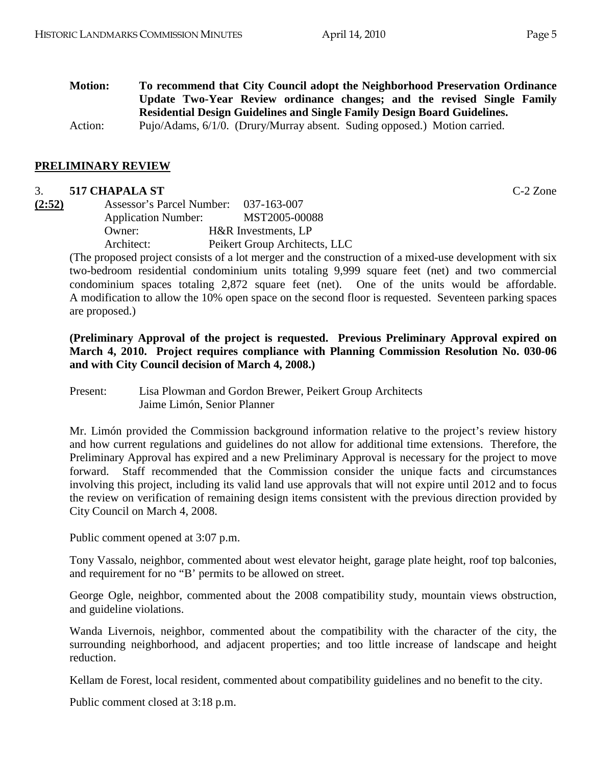**Motion: To recommend that City Council adopt the Neighborhood Preservation Ordinance Update Two-Year Review ordinance changes; and the revised Single Family Residential Design Guidelines and Single Family Design Board Guidelines.**  Action: Pujo/Adams, 6/1/0. (Drury/Murray absent. Suding opposed.) Motion carried.

### **PRELIMINARY REVIEW**

### 3. **517 CHAPALA ST** C-2 Zone

| (2:52) | Assessor's Parcel Number: 037-163-007 |                               |
|--------|---------------------------------------|-------------------------------|
|        | <b>Application Number:</b>            | MST2005-00088                 |
|        | Owner:                                | H&R Investments, LP           |
|        | Architect:                            | Peikert Group Architects, LLC |

(The proposed project consists of a lot merger and the construction of a mixed-use development with six two-bedroom residential condominium units totaling 9,999 square feet (net) and two commercial condominium spaces totaling 2,872 square feet (net). One of the units would be affordable. A modification to allow the 10% open space on the second floor is requested. Seventeen parking spaces are proposed.)

**(Preliminary Approval of the project is requested. Previous Preliminary Approval expired on March 4, 2010. Project requires compliance with Planning Commission Resolution No. 030-06 and with City Council decision of March 4, 2008.)** 

Present: Lisa Plowman and Gordon Brewer, Peikert Group Architects Jaime Limón, Senior Planner

Mr. Limón provided the Commission background information relative to the project's review history and how current regulations and guidelines do not allow for additional time extensions. Therefore, the Preliminary Approval has expired and a new Preliminary Approval is necessary for the project to move forward. Staff recommended that the Commission consider the unique facts and circumstances involving this project, including its valid land use approvals that will not expire until 2012 and to focus the review on verification of remaining design items consistent with the previous direction provided by City Council on March 4, 2008.

Public comment opened at 3:07 p.m.

Tony Vassalo, neighbor, commented about west elevator height, garage plate height, roof top balconies, and requirement for no "B' permits to be allowed on street.

George Ogle, neighbor, commented about the 2008 compatibility study, mountain views obstruction, and guideline violations.

Wanda Livernois, neighbor, commented about the compatibility with the character of the city, the surrounding neighborhood, and adjacent properties; and too little increase of landscape and height reduction.

Kellam de Forest, local resident, commented about compatibility guidelines and no benefit to the city.

Public comment closed at 3:18 p.m.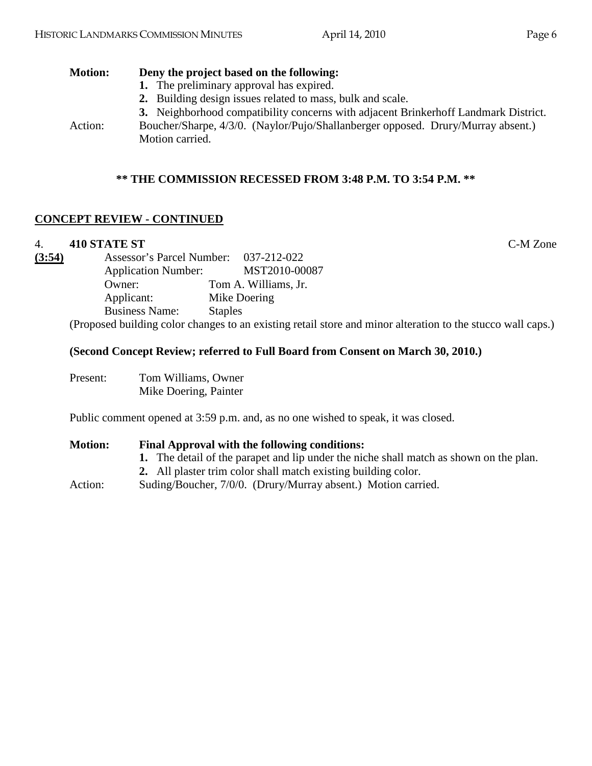# **Motion: Deny the project based on the following:**

- **1.** The preliminary approval has expired.
- **2.** Building design issues related to mass, bulk and scale.
- **3.** Neighborhood compatibility concerns with adjacent Brinkerhoff Landmark District.
- Action: Boucher/Sharpe, 4/3/0. (Naylor/Pujo/Shallanberger opposed. Drury/Murray absent.) Motion carried.

# **\*\* THE COMMISSION RECESSED FROM 3:48 P.M. TO 3:54 P.M. \*\***

# **CONCEPT REVIEW - CONTINUED**

## 4. **410 STATE ST** C-M Zone

 $(3:54)$ 

| Assessor's Parcel Number:                                | 037-212-022          |
|----------------------------------------------------------|----------------------|
| <b>Application Number:</b>                               | MST2010-00087        |
| Owner:                                                   | Tom A. Williams, Jr. |
| Applicant:                                               | Mike Doering         |
| <b>Business Name:</b>                                    | <b>Staples</b>       |
| (Droposed building color changes to an evicting rated at |                      |

(Proposed building color changes to an existing retail store and minor alteration to the stucco wall caps.)

## **(Second Concept Review; referred to Full Board from Consent on March 30, 2010.)**

Present: Tom Williams, Owner Mike Doering, Painter

Public comment opened at 3:59 p.m. and, as no one wished to speak, it was closed.

| <b>Motion:</b> | Final Approval with the following conditions:                                          |  |  |
|----------------|----------------------------------------------------------------------------------------|--|--|
|                | 1. The detail of the parapet and lip under the niche shall match as shown on the plan. |  |  |
|                | 2. All plaster trim color shall match existing building color.                         |  |  |
| Action:        | Suding/Boucher, 7/0/0. (Drury/Murray absent.) Motion carried.                          |  |  |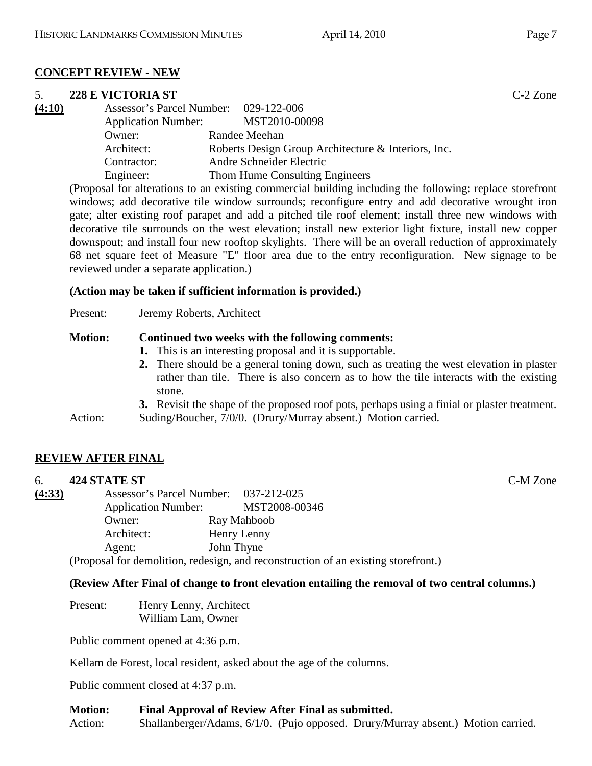## **CONCEPT REVIEW - NEW**

# 5. **228 E VICTORIA ST** C-2 Zone

| (4:10) | Assessor's Parcel Number: 029-122-006<br><b>Application Number:</b> | MST2010-00098                                       |
|--------|---------------------------------------------------------------------|-----------------------------------------------------|
|        | Owner:                                                              | Randee Meehan                                       |
|        | Architect:                                                          | Roberts Design Group Architecture & Interiors, Inc. |
|        | Contractor:                                                         | Andre Schneider Electric                            |
|        | Engineer:                                                           | Thom Hume Consulting Engineers                      |
|        |                                                                     |                                                     |

(Proposal for alterations to an existing commercial building including the following: replace storefront windows; add decorative tile window surrounds; reconfigure entry and add decorative wrought iron gate; alter existing roof parapet and add a pitched tile roof element; install three new windows with decorative tile surrounds on the west elevation; install new exterior light fixture, install new copper downspout; and install four new rooftop skylights. There will be an overall reduction of approximately 68 net square feet of Measure "E" floor area due to the entry reconfiguration. New signage to be reviewed under a separate application.)

# **(Action may be taken if sufficient information is provided.)**

| Present: | Jeremy Roberts, Architect |
|----------|---------------------------|
|----------|---------------------------|

# **Motion: Continued two weeks with the following comments:**

- **1.** This is an interesting proposal and it is supportable.
- **2.** There should be a general toning down, such as treating the west elevation in plaster rather than tile. There is also concern as to how the tile interacts with the existing stone.
- **3.** Revisit the shape of the proposed roof pots, perhaps using a finial or plaster treatment.

Action: Suding/Boucher, 7/0/0. (Drury/Murray absent.) Motion carried.

# **REVIEW AFTER FINAL**

# 6. **424 STATE ST** C-M Zone

| (4:33) |                                                         | Assessor's Parcel Number: 037-212-025 |               |
|--------|---------------------------------------------------------|---------------------------------------|---------------|
|        | <b>Application Number:</b>                              |                                       | MST2008-00346 |
|        | Owner:                                                  |                                       | Ray Mahboob   |
|        | Architect:                                              |                                       | Henry Lenny   |
|        | Agent:                                                  |                                       | John Thyne    |
|        | (Droposel for demolition redegion and reconstruction of |                                       |               |

(Proposal for demolition, redesign, and reconstruction of an existing storefront.)

# **(Review After Final of change to front elevation entailing the removal of two central columns.)**

Present: Henry Lenny, Architect William Lam, Owner

Public comment opened at 4:36 p.m.

Kellam de Forest, local resident, asked about the age of the columns.

Public comment closed at 4:37 p.m.

## **Motion: Final Approval of Review After Final as submitted.**  Action: Shallanberger/Adams, 6/1/0. (Pujo opposed. Drury/Murray absent.) Motion carried.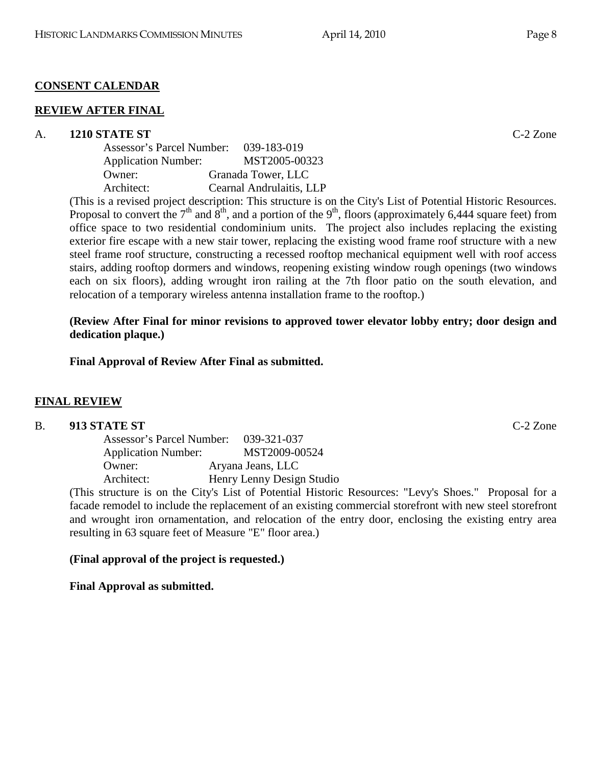## **CONSENT CALENDAR**

#### **REVIEW AFTER FINAL**

#### A. **1210 STATE ST** C-2 Zone

| Assessor's Parcel Number:  | 039-183-019              |
|----------------------------|--------------------------|
| <b>Application Number:</b> | MST2005-00323            |
| Owner:                     | Granada Tower, LLC       |
| Architect:                 | Cearnal Andrulaitis, LLP |

(This is a revised project description: This structure is on the City's List of Potential Historic Resources. Proposal to convert the  $7<sup>th</sup>$  and  $8<sup>th</sup>$ , and a portion of the  $9<sup>th</sup>$ , floors (approximately 6,444 square feet) from office space to two residential condominium units. The project also includes replacing the existing exterior fire escape with a new stair tower, replacing the existing wood frame roof structure with a new steel frame roof structure, constructing a recessed rooftop mechanical equipment well with roof access stairs, adding rooftop dormers and windows, reopening existing window rough openings (two windows each on six floors), adding wrought iron railing at the 7th floor patio on the south elevation, and relocation of a temporary wireless antenna installation frame to the rooftop.)

**(Review After Final for minor revisions to approved tower elevator lobby entry; door design and dedication plaque.)** 

**Final Approval of Review After Final as submitted.** 

#### **FINAL REVIEW**

#### B. **913 STATE ST** C-2 Zone

| Assessor's Parcel Number:  | 039-321-037                                              |
|----------------------------|----------------------------------------------------------|
| <b>Application Number:</b> | MST2009-00524                                            |
| Owner:                     | Aryana Jeans, LLC                                        |
| Architect:                 | Henry Lenny Design Studio                                |
|                            | etructure is on the $City$ 's List of Potential Historic |

(This structure is on the City's List of Potential Historic Resources: "Levy's Shoes." Proposal for a facade remodel to include the replacement of an existing commercial storefront with new steel storefront and wrought iron ornamentation, and relocation of the entry door, enclosing the existing entry area resulting in 63 square feet of Measure "E" floor area.)

#### **(Final approval of the project is requested.)**

**Final Approval as submitted.**